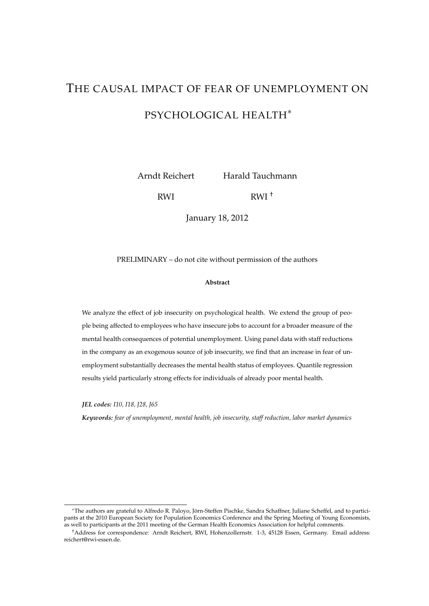# THE CAUSAL IMPACT OF FEAR OF UNEMPLOYMENT ON PSYCHOLOGICAL HEALTH<sup>∗</sup>

Arndt Reichert

Harald Tauchmann

RWI

RWI †

January 18, 2012

PRELIMINARY – do not cite without permission of the authors

#### **Abstract**

We analyze the effect of job insecurity on psychological health. We extend the group of people being affected to employees who have insecure jobs to account for a broader measure of the mental health consequences of potential unemployment. Using panel data with staff reductions in the company as an exogenous source of job insecurity, we find that an increase in fear of unemployment substantially decreases the mental health status of employees. Quantile regression results yield particularly strong effects for individuals of already poor mental health.

*JEL codes: I10, I18, J28, J65*

*Keywords: fear of unemployment, mental health, job insecurity, staff reduction, labor market dynamics*

<sup>∗</sup>The authors are grateful to Alfredo R. Paloyo, Jorn-Steffen Pischke, Sandra Schaffner, Juliane Scheffel, and to partici- ¨ pants at the 2010 European Society for Population Economics Conference and the Spring Meeting of Young Economists, as well to participants at the 2011 meeting of the German Health Economics Association for helpful comments.

<sup>†</sup>Address for correspondence: Arndt Reichert, RWI, Hohenzollernstr. 1-3, 45128 Essen, Germany. Email address: reichert@rwi-essen.de.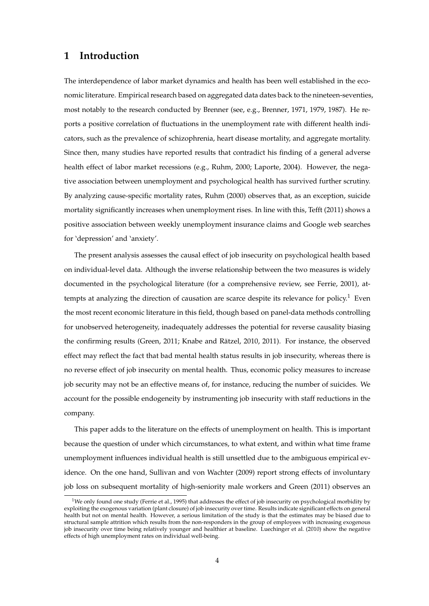# **1 Introduction**

The interdependence of labor market dynamics and health has been well established in the economic literature. Empirical research based on aggregated data dates back to the nineteen-seventies, most notably to the research conducted by Brenner (see, e.g., [Brenner,](#page-17-0) [1971,](#page-17-0) [1979,](#page-17-1) [1987\)](#page-17-2). He reports a positive correlation of fluctuations in the unemployment rate with different health indicators, such as the prevalence of schizophrenia, heart disease mortality, and aggregate mortality. Since then, many studies have reported results that contradict his finding of a general adverse health effect of labor market recessions (e.g., [Ruhm,](#page-19-0) [2000;](#page-19-0) [Laporte,](#page-18-0) [2004\)](#page-18-0). However, the negative association between unemployment and psychological health has survived further scrutiny. By analyzing cause-specific mortality rates, [Ruhm](#page-19-0) [\(2000\)](#page-19-0) observes that, as an exception, suicide mortality significantly increases when unemployment rises. In line with this, [Tefft](#page-19-1) [\(2011\)](#page-19-1) shows a positive association between weekly unemployment insurance claims and Google web searches for 'depression' and 'anxiety'.

The present analysis assesses the causal effect of job insecurity on psychological health based on individual-level data. Although the inverse relationship between the two measures is widely documented in the psychological literature (for a comprehensive review, see [Ferrie,](#page-17-3) [2001\)](#page-17-3), attempts at analyzing the direction of causation are scarce despite its relevance for policy.<sup>1</sup> Even the most recent economic literature in this field, though based on panel-data methods controlling for unobserved heterogeneity, inadequately addresses the potential for reverse causality biasing the confirming results [\(Green,](#page-18-1) [2011;](#page-18-1) Knabe and Rätzel, [2010,](#page-18-2) [2011\)](#page-18-3). For instance, the observed effect may reflect the fact that bad mental health status results in job insecurity, whereas there is no reverse effect of job insecurity on mental health. Thus, economic policy measures to increase job security may not be an effective means of, for instance, reducing the number of suicides. We account for the possible endogeneity by instrumenting job insecurity with staff reductions in the company.

This paper adds to the literature on the effects of unemployment on health. This is important because the question of under which circumstances, to what extent, and within what time frame unemployment influences individual health is still unsettled due to the ambiguous empirical ev-idence. On the one hand, [Sullivan and von Wachter](#page-19-2) [\(2009\)](#page-19-2) report strong effects of involuntary job loss on subsequent mortality of high-seniority male workers and [Green](#page-18-1) [\(2011\)](#page-18-1) observes an

<sup>&</sup>lt;sup>1</sup>We only found one study [\(Ferrie et al.,](#page-17-4) [1995\)](#page-17-4) that addresses the effect of job insecurity on psychological morbidity by exploiting the exogenous variation (plant closure) of job insecurity over time. Results indicate significant effects on general health but not on mental health. However, a serious limitation of the study is that the estimates may be biased due to structural sample attrition which results from the non-responders in the group of employees with increasing exogenous job insecurity over time being relatively younger and healthier at baseline. [Luechinger et al.](#page-18-4) [\(2010\)](#page-18-4) show the negative effects of high unemployment rates on individual well-being.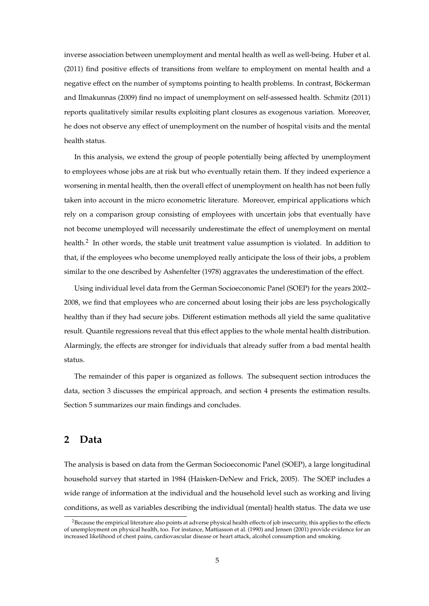inverse association between unemployment and mental health as well as well-being. [Huber et al.](#page-18-5) [\(2011\)](#page-18-5) find positive effects of transitions from welfare to employment on mental health and a negative effect on the number of symptoms pointing to health problems. In contrast, Böckerman [and Ilmakunnas](#page-17-5) [\(2009\)](#page-17-5) find no impact of unemployment on self-assessed health. [Schmitz](#page-19-3) [\(2011\)](#page-19-3) reports qualitatively similar results exploiting plant closures as exogenous variation. Moreover, he does not observe any effect of unemployment on the number of hospital visits and the mental health status.

In this analysis, we extend the group of people potentially being affected by unemployment to employees whose jobs are at risk but who eventually retain them. If they indeed experience a worsening in mental health, then the overall effect of unemployment on health has not been fully taken into account in the micro econometric literature. Moreover, empirical applications which rely on a comparison group consisting of employees with uncertain jobs that eventually have not become unemployed will necessarily underestimate the effect of unemployment on mental health.<sup>2</sup> In other words, the stable unit treatment value assumption is violated. In addition to that, if the employees who become unemployed really anticipate the loss of their jobs, a problem similar to the one described by [Ashenfelter](#page-17-6) [\(1978\)](#page-17-6) aggravates the underestimation of the effect.

Using individual level data from the German Socioeconomic Panel (SOEP) for the years 2002– 2008, we find that employees who are concerned about losing their jobs are less psychologically healthy than if they had secure jobs. Different estimation methods all yield the same qualitative result. Quantile regressions reveal that this effect applies to the whole mental health distribution. Alarmingly, the effects are stronger for individuals that already suffer from a bad mental health status.

The remainder of this paper is organized as follows. The subsequent section introduces the data, section [3](#page-6-0) discusses the empirical approach, and section [4](#page-9-0) presents the estimation results. Section [5](#page-16-0) summarizes our main findings and concludes.

## **2 Data**

The analysis is based on data from the German Socioeconomic Panel (SOEP), a large longitudinal household survey that started in 1984 [\(Haisken-DeNew and Frick,](#page-18-6) [2005\)](#page-18-6). The SOEP includes a wide range of information at the individual and the household level such as working and living conditions, as well as variables describing the individual (mental) health status. The data we use

<sup>&</sup>lt;sup>2</sup>Because the empirical literature also points at adverse physical health effects of job insecurity, this applies to the effects of unemployment on physical health, too. For instance, [Mattiasson et al.](#page-18-7) [\(1990\)](#page-18-7) and [Jensen](#page-18-8) [\(2001\)](#page-18-8) provide evidence for an increased likelihood of chest pains, cardiovascular disease or heart attack, alcohol consumption and smoking.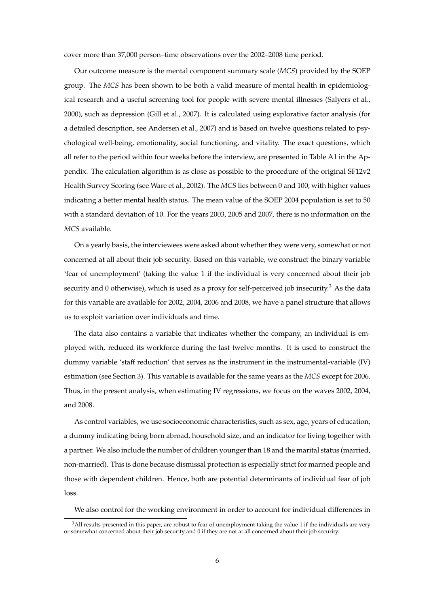cover more than 37,000 person–time observations over the 2002–2008 time period.

Our outcome measure is the mental component summary scale (*MCS*) provided by the SOEP group. The *MCS* has been shown to be both a valid measure of mental health in epidemiological research and a useful screening tool for people with severe mental illnesses [\(Salyers et al.,](#page-19-4) [2000\)](#page-19-4), such as depression [\(Gill et al.,](#page-18-9) [2007\)](#page-18-9). It is calculated using explorative factor analysis (for a detailed description, see [Andersen et al.,](#page-17-7) [2007\)](#page-17-7) and is based on twelve questions related to psychological well-being, emotionality, social functioning, and vitality. The exact questions, which all refer to the period within four weeks before the interview, are presented in Table [A1](#page-20-0) in the Appendix. The calculation algorithm is as close as possible to the procedure of the original SF12v2 Health Survey Scoring (see [Ware et al.,](#page-19-5) [2002\)](#page-19-5). The *MCS* lies between 0 and 100, with higher values indicating a better mental health status. The mean value of the SOEP 2004 population is set to 50 with a standard deviation of 10. For the years 2003, 2005 and 2007, there is no information on the *MCS* available.

On a yearly basis, the interviewees were asked about whether they were very, somewhat or not concerned at all about their job security. Based on this variable, we construct the binary variable 'fear of unemployment' (taking the value 1 if the individual is very concerned about their job security and 0 otherwise), which is used as a proxy for self-perceived job insecurity.<sup>3</sup> As the data for this variable are available for 2002, 2004, 2006 and 2008, we have a panel structure that allows us to exploit variation over individuals and time.

The data also contains a variable that indicates whether the company, an individual is employed with, reduced its workforce during the last twelve months. It is used to construct the dummy variable 'staff reduction' that serves as the instrument in the instrumental-variable (IV) estimation (see Section [3\)](#page-6-0). This variable is available for the same years as the *MCS* except for 2006. Thus, in the present analysis, when estimating IV regressions, we focus on the waves 2002, 2004, and 2008.

As control variables, we use socioeconomic characteristics, such as sex, age, years of education, a dummy indicating being born abroad, household size, and an indicator for living together with a partner. We also include the number of children younger than 18 and the marital status (married, non-married). This is done because dismissal protection is especially strict for married people and those with dependent children. Hence, both are potential determinants of individual fear of job loss.

We also control for the working environment in order to account for individual differences in

 $3$ All results presented in this paper, are robust to fear of unemployment taking the value 1 if the individuals are very or somewhat concerned about their job security and 0 if they are not at all concerned about their job security.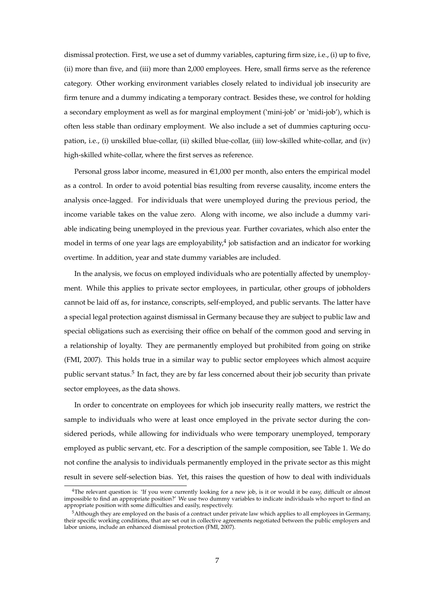dismissal protection. First, we use a set of dummy variables, capturing firm size, i.e., (i) up to five, (ii) more than five, and (iii) more than 2,000 employees. Here, small firms serve as the reference category. Other working environment variables closely related to individual job insecurity are firm tenure and a dummy indicating a temporary contract. Besides these, we control for holding a secondary employment as well as for marginal employment ( 'mini-job' or 'midi-job'), which is often less stable than ordinary employment. We also include a set of dummies capturing occupation, i.e., (i) unskilled blue-collar, (ii) skilled blue-collar, (iii) low-skilled white-collar, and (iv) high-skilled white-collar, where the first serves as reference.

Personal gross labor income, measured in  $\epsilon$ 1,000 per month, also enters the empirical model as a control. In order to avoid potential bias resulting from reverse causality, income enters the analysis once-lagged. For individuals that were unemployed during the previous period, the income variable takes on the value zero. Along with income, we also include a dummy variable indicating being unemployed in the previous year. Further covariates, which also enter the model in terms of one year lags are employability, $^4$  job satisfaction and an indicator for working overtime. In addition, year and state dummy variables are included.

In the analysis, we focus on employed individuals who are potentially affected by unemployment. While this applies to private sector employees, in particular, other groups of jobholders cannot be laid off as, for instance, conscripts, self-employed, and public servants. The latter have a special legal protection against dismissal in Germany because they are subject to public law and special obligations such as exercising their office on behalf of the common good and serving in a relationship of loyalty. They are permanently employed but prohibited from going on strike [\(FMI,](#page-17-8) [2007\)](#page-17-8). This holds true in a similar way to public sector employees which almost acquire public servant status.<sup>5</sup> In fact, they are by far less concerned about their job security than private sector employees, as the data shows.

In order to concentrate on employees for which job insecurity really matters, we restrict the sample to individuals who were at least once employed in the private sector during the considered periods, while allowing for individuals who were temporary unemployed, temporary employed as public servant, etc. For a description of the sample composition, see Table [1.](#page-5-0) We do not confine the analysis to individuals permanently employed in the private sector as this might result in severe self-selection bias. Yet, this raises the question of how to deal with individuals

<sup>&</sup>lt;sup>4</sup>The relevant question is: 'If you were currently looking for a new job, is it or would it be easy, difficult or almost impossible to find an appropriate position?' We use two dummy variables to indicate individuals who report to find an appropriate position with some difficulties and easily, respectively.

 $5$ Although they are employed on the basis of a contract under private law which applies to all employees in Germany, their specific working conditions, that are set out in collective agreements negotiated between the public employers and labor unions, include an enhanced dismissal protection [\(FMI,](#page-17-8) [2007\)](#page-17-8).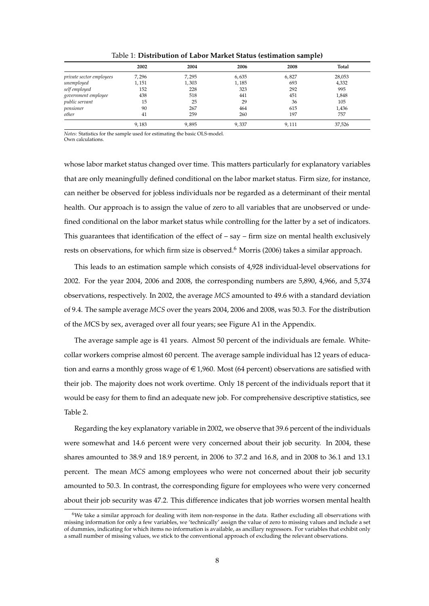<span id="page-5-0"></span>

|                          | 2002  | 2004  | 2006  | 2008  | Total  |
|--------------------------|-------|-------|-------|-------|--------|
| private sector employees | 7,296 | 7,295 | 6,635 | 6,827 | 28,053 |
| unemployed               | 1,151 | 1,303 | 1,185 | 693   | 4,332  |
| self employed            | 152   | 228   | 323   | 292   | 995    |
| government employee      | 438   | 518   | 441   | 451   | 1,848  |
| public servant           | 15    | 25    | 29    | 36    | 105    |
| pensioner                | 90    | 267   | 464   | 615   | 1,436  |
| other                    | 41    | 259   | 260   | 197   | 757    |
|                          | 9,183 | 9,895 | 9,337 | 9,111 | 37,526 |

Table 1: **Distribution of Labor Market Status (estimation sample)**

*Notes:* Statistics for the sample used for estimating the basic OLS-model. Own calculations.

whose labor market status changed over time. This matters particularly for explanatory variables that are only meaningfully defined conditional on the labor market status. Firm size, for instance, can neither be observed for jobless individuals nor be regarded as a determinant of their mental health. Our approach is to assign the value of zero to all variables that are unobserved or undefined conditional on the labor market status while controlling for the latter by a set of indicators. This guarantees that identification of the effect of  $-$  say  $-$  firm size on mental health exclusively rests on observations, for which firm size is observed.<sup>6</sup> [Morris](#page-19-6) [\(2006\)](#page-19-6) takes a similar approach.

This leads to an estimation sample which consists of 4,928 individual-level observations for 2002. For the year 2004, 2006 and 2008, the corresponding numbers are 5,890, 4,966, and 5,374 observations, respectively. In 2002, the average *MCS* amounted to 49.6 with a standard deviation of 9.4. The sample average *MCS* over the years 2004, 2006 and 2008, was 50.3. For the distribution of the *M*CS by sex, averaged over all four years; see Figure [A1](#page-21-0) in the Appendix.

The average sample age is 41 years. Almost 50 percent of the individuals are female. Whitecollar workers comprise almost 60 percent. The average sample individual has 12 years of education and earns a monthly gross wage of  $\in$  1,960. Most (64 percent) observations are satisfied with their job. The majority does not work overtime. Only 18 percent of the individuals report that it would be easy for them to find an adequate new job. For comprehensive descriptive statistics, see Table [2.](#page-6-1)

Regarding the key explanatory variable in 2002, we observe that 39.6 percent of the individuals were somewhat and 14.6 percent were very concerned about their job security. In 2004, these shares amounted to 38.9 and 18.9 percent, in 2006 to 37.2 and 16.8, and in 2008 to 36.1 and 13.1 percent. The mean *MCS* among employees who were not concerned about their job security amounted to 50.3. In contrast, the corresponding figure for employees who were very concerned about their job security was 47.2. This difference indicates that job worries worsen mental health

 $6$ We take a similar approach for dealing with item non-response in the data. Rather excluding all observations with missing information for only a few variables, we 'technically' assign the value of zero to missing values and include a set of dummies, indicating for which items no information is available, as ancillary regressors. For variables that exhibit only a small number of missing values, we stick to the conventional approach of excluding the relevant observations.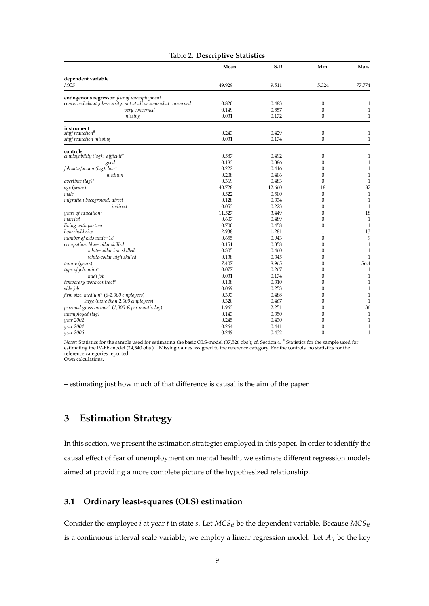| Table 2: Descriptive Statistics |
|---------------------------------|
|---------------------------------|

<span id="page-6-1"></span>

|                                                                | Mean   | S.D.   | Min.             | Max.         |
|----------------------------------------------------------------|--------|--------|------------------|--------------|
| dependent variable                                             |        |        |                  |              |
| MCS                                                            | 49.929 | 9.511  | 5.324            | 77.774       |
| endogenous regressor: fear of unemployment                     |        |        |                  |              |
| concerned about job-security: not at all or somewhat concerned | 0.820  | 0.483  | $\boldsymbol{0}$ | 1            |
| very concerned                                                 | 0.149  | 0.357  | $\mathbf{0}$     | $\mathbf{1}$ |
| missing                                                        | 0.031  | 0.172  | 0                | $\mathbf{1}$ |
| instrument                                                     |        |        |                  |              |
| staff reduction <sup>#</sup>                                   | 0.243  | 0.429  | $\boldsymbol{0}$ | $\mathbf{1}$ |
| staff reduction missing                                        | 0.031  | 0.174  | $\mathbf{0}$     | $\mathbf{1}$ |
| controls                                                       |        |        |                  |              |
| employability (lag): difficult°                                | 0.587  | 0.492  | $\boldsymbol{0}$ | $\mathbf{1}$ |
| good                                                           | 0.183  | 0.386  | $\mathbf{0}$     | $\mathbf{1}$ |
| job satisfaction (lag): low <sup>o</sup>                       | 0.222  | 0.416  | $\mathbf{0}$     | $\mathbf{1}$ |
| medium                                                         | 0.208  | 0.406  | 0                | $\mathbf{1}$ |
| overtime $(lag)^\circ$                                         | 0.369  | 0.483  | $\mathbf{0}$     | $\mathbf{1}$ |
| age (years)                                                    | 40.728 | 12.660 | 18               | 87           |
| male                                                           | 0.522  | 0.500  | $\boldsymbol{0}$ | $\mathbf{1}$ |
| migration background: direct                                   | 0.128  | 0.334  | $\mathbf{0}$     | $\mathbf{1}$ |
| indirect                                                       | 0.053  | 0.223  | 0                | $\mathbf{1}$ |
| years of education <sup>o</sup>                                | 11.527 | 3.449  | 0                | 18           |
| married                                                        | 0.607  | 0.489  | 0                | $\mathbf{1}$ |
| living with partner                                            | 0.700  | 0.458  | $\mathbf{0}$     | $\mathbf{1}$ |
| household size                                                 | 2.938  | 1.281  | $\mathbf{1}$     | 13           |
| number of kids under 18                                        | 0.655  | 0.943  | 0                | 9            |
| occupation: blue-collar skilled                                | 0.151  | 0.358  | 0                | $\mathbf{1}$ |
| white-collar low skilled                                       | 0.305  | 0.460  | 0                | $\mathbf{1}$ |
| white-collar high skilled                                      | 0.138  | 0.345  | 0                | $\mathbf{1}$ |
| tenure (years)                                                 | 7.407  | 8.965  | 0                | 56.4         |
| type of job: mini°                                             | 0.077  | 0.267  | $\mathbf{0}$     | $\mathbf{1}$ |
| midi job                                                       | 0.031  | 0.174  | 0                | $\mathbf{1}$ |
| temporary work contract <sup>o</sup>                           | 0.108  | 0.310  | 0                | $\mathbf{1}$ |
| side job                                                       | 0.069  | 0.253  | 0                | $\mathbf{1}$ |
| firm size: medium <sup>o</sup> (6-2,000 employees)             | 0.393  | 0.488  | 0                | $\mathbf{1}$ |
| large (more than 2,000 employees)                              | 0.320  | 0.467  | $\mathbf{0}$     | $\mathbf{1}$ |
| personal gross income $^{\circ}$ (1,000 € per month, lag)      | 1.963  | 2.251  | 0                | 36           |
| unemployed (lag)                                               | 0.143  | 0.350  | 0                | 1            |
| year 2002                                                      | 0.245  | 0.430  | 0                | $\mathbf{1}$ |
| year 2004                                                      | 0.264  | 0.441  | $\mathbf{0}$     | $\mathbf{1}$ |
| year 2006                                                      | 0.249  | 0.432  | $\mathbf{0}$     | $\mathbf{1}$ |

Notes: Statistics for the sample used for estimating the basic OLS-model (37,526 obs.); cf. Section [4.](#page-9-0) # Statistics for the sample used for<br>estimating the IV-FE-model (24,340 obs.). °Missing values assigned to the referenc Own calculations.

– estimating just how much of that difference is causal is the aim of the paper.

# <span id="page-6-0"></span>**3 Estimation Strategy**

In this section, we present the estimation strategies employed in this paper. In order to identify the causal effect of fear of unemployment on mental health, we estimate different regression models aimed at providing a more complete picture of the hypothesized relationship.

#### **3.1 Ordinary least-squares (OLS) estimation**

Consider the employee *i* at year *t* in state *s*. Let *MCSit* be the dependent variable. Because *MCSit* is a continuous interval scale variable, we employ a linear regression model. Let *Ait* be the key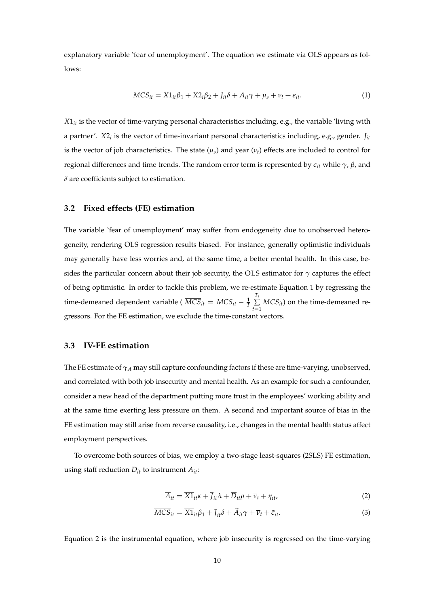explanatory variable 'fear of unemployment'. The equation we estimate via OLS appears as follows:

<span id="page-7-0"></span>
$$
MCS_{it} = X1_{it}\beta_1 + X2_i\beta_2 + J_{it}\delta + A_{it}\gamma + \mu_s + \nu_t + \epsilon_{it}.
$$
\n(1)

*X*1*it* is the vector of time-varying personal characteristics including, e.g., the variable 'living with a partner'. *X*2*<sup>i</sup>* is the vector of time-invariant personal characteristics including, e.g., gender. *Jit* is the vector of job characteristics. The state  $(\mu_s)$  and year  $(\nu_t)$  effects are included to control for regional differences and time trends. The random error term is represented by *eit* while *γ*, *β*, and *δ* are coefficients subject to estimation.

#### **3.2 Fixed effects (FE) estimation**

The variable 'fear of unemployment' may suffer from endogeneity due to unobserved heterogeneity, rendering OLS regression results biased. For instance, generally optimistic individuals may generally have less worries and, at the same time, a better mental health. In this case, besides the particular concern about their job security, the OLS estimator for  $\gamma$  captures the effect of being optimistic. In order to tackle this problem, we re-estimate Equation [1](#page-7-0) by regressing the time-demeaned dependent variable (  $\overline{MCS}_{it} = MCS_{it} - \frac{1}{7}$ *Ti* ∑  $\sum_{t=1}$  *MCS*<sup>*it*</sup>) on the time-demeaned regressors. For the FE estimation, we exclude the time-constant vectors.

#### **3.3 IV-FE estimation**

The FE estimate of  $\gamma_A$  may still capture confounding factors if these are time-varying, unobserved, and correlated with both job insecurity and mental health. As an example for such a confounder, consider a new head of the department putting more trust in the employees' working ability and at the same time exerting less pressure on them. A second and important source of bias in the FE estimation may still arise from reverse causality, i.e., changes in the mental health status affect employment perspectives.

To overcome both sources of bias, we employ a two-stage least-squares (2SLS) FE estimation, using staff reduction  $D_{it}$  to instrument  $A_{it}$ :

<span id="page-7-2"></span><span id="page-7-1"></span>
$$
\overline{A}_{it} = \overline{X1}_{it}\kappa + \overline{J}_{it}\lambda + \overline{D}_{it}\rho + \overline{\nu}_t + \eta_{it},
$$
\n(2)

$$
\overline{MCS}_{it} = \overline{X1}_{it}\beta_1 + \overline{J}_{it}\delta + \widehat{A}_{it}\gamma + \overline{\nu}_t + \widetilde{\epsilon}_{it}.
$$
 (3)

Equation [2](#page-7-1) is the instrumental equation, where job insecurity is regressed on the time-varying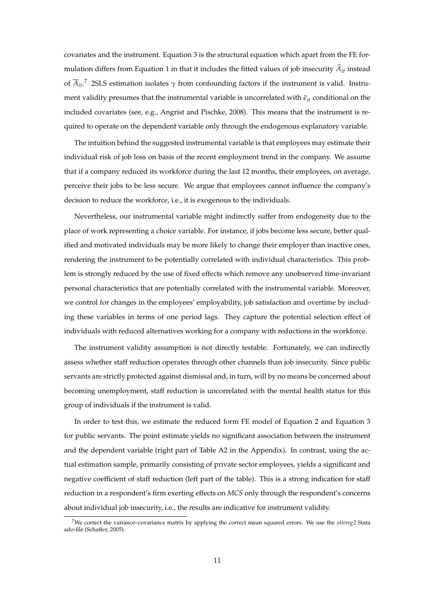covariates and the instrument. Equation [3](#page-7-2) is the structural equation which apart from the FE for-mulation differs from Equation [1](#page-7-0) in that it includes the fitted values of job insecurity  $A_{it}$  instead of *Ait*. <sup>7</sup> 2SLS estimation isolates *γ* from confounding factors if the instrument is valid. Instrument validity presumes that the instrumental variable is uncorrelated with  $\tilde{\epsilon}_{it}$  conditional on the included covariates (see, e.g., [Angrist and Pischke,](#page-17-9) [2008\)](#page-17-9). This means that the instrument is required to operate on the dependent variable only through the endogenous explanatory variable.

The intuition behind the suggested instrumental variable is that employees may estimate their individual risk of job loss on basis of the recent employment trend in the company. We assume that if a company reduced its workforce during the last 12 months, their employees, on average, perceive their jobs to be less secure. We argue that employees cannot influence the company's decision to reduce the workforce, i.e., it is exogenous to the individuals.

Nevertheless, our instrumental variable might indirectly suffer from endogeneity due to the place of work representing a choice variable. For instance, if jobs become less secure, better qualified and motivated individuals may be more likely to change their employer than inactive ones, rendering the instrument to be potentially correlated with individual characteristics. This problem is strongly reduced by the use of fixed effects which remove any unobserved time-invariant personal characteristics that are potentially correlated with the instrumental variable. Moreover, we control for changes in the employees' employability, job satisfaction and overtime by including these variables in terms of one period lags. They capture the potential selection effect of individuals with reduced alternatives working for a company with reductions in the workforce.

The instrument validity assumption is not directly testable. Fortunately, we can indirectly assess whether staff reduction operates through other channels than job insecurity. Since public servants are strictly protected against dismissal and, in turn, will by no means be concerned about becoming unemployment, staff reduction is uncorrelated with the mental health status for this group of individuals if the instrument is valid.

In order to test this, we estimate the reduced form FE model of Equation [2](#page-7-1) and Equation [3](#page-7-2) for public servants. The point estimate yields no significant association between the instrument and the dependent variable (right part of Table [A2](#page-22-0) in the Appendix). In contrast, using the actual estimation sample, primarily consisting of private sector employees, yields a significant and negative coefficient of staff reduction (left part of the table). This is a strong indication for staff reduction in a respondent's firm exerting effects on *MCS* only through the respondent's concerns about individual job insecurity, i.e., the results are indicative for instrument validity.

<sup>7</sup>We correct the variance–covariance matrix by applying the correct mean squared errors. We use the *xtivreg2* Stata ado-file [\(Schaffer,](#page-19-7) [2005\)](#page-19-7).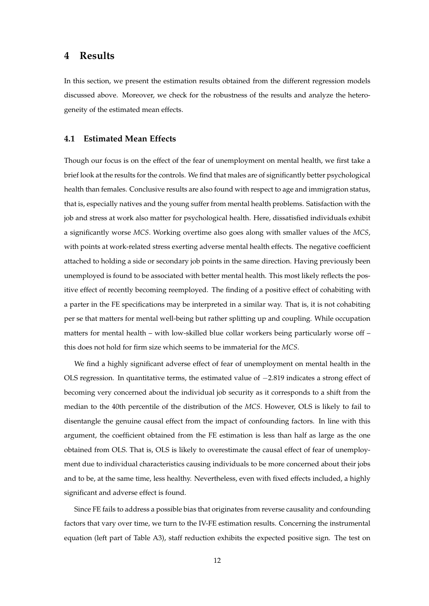# <span id="page-9-0"></span>**4 Results**

In this section, we present the estimation results obtained from the different regression models discussed above. Moreover, we check for the robustness of the results and analyze the heterogeneity of the estimated mean effects.

#### **4.1 Estimated Mean Effects**

Though our focus is on the effect of the fear of unemployment on mental health, we first take a brief look at the results for the controls. We find that males are of significantly better psychological health than females. Conclusive results are also found with respect to age and immigration status, that is, especially natives and the young suffer from mental health problems. Satisfaction with the job and stress at work also matter for psychological health. Here, dissatisfied individuals exhibit a significantly worse *MCS*. Working overtime also goes along with smaller values of the *MCS*, with points at work-related stress exerting adverse mental health effects. The negative coefficient attached to holding a side or secondary job points in the same direction. Having previously been unemployed is found to be associated with better mental health. This most likely reflects the positive effect of recently becoming reemployed. The finding of a positive effect of cohabiting with a parter in the FE specifications may be interpreted in a similar way. That is, it is not cohabiting per se that matters for mental well-being but rather splitting up and coupling. While occupation matters for mental health – with low-skilled blue collar workers being particularly worse off – this does not hold for firm size which seems to be immaterial for the *MCS*.

We find a highly significant adverse effect of fear of unemployment on mental health in the OLS regression. In quantitative terms, the estimated value of −2.819 indicates a strong effect of becoming very concerned about the individual job security as it corresponds to a shift from the median to the 40th percentile of the distribution of the *MCS*. However, OLS is likely to fail to disentangle the genuine causal effect from the impact of confounding factors. In line with this argument, the coefficient obtained from the FE estimation is less than half as large as the one obtained from OLS. That is, OLS is likely to overestimate the causal effect of fear of unemployment due to individual characteristics causing individuals to be more concerned about their jobs and to be, at the same time, less healthy. Nevertheless, even with fixed effects included, a highly significant and adverse effect is found.

Since FE fails to address a possible bias that originates from reverse causality and confounding factors that vary over time, we turn to the IV-FE estimation results. Concerning the instrumental equation (left part of Table [A3\)](#page-23-0), staff reduction exhibits the expected positive sign. The test on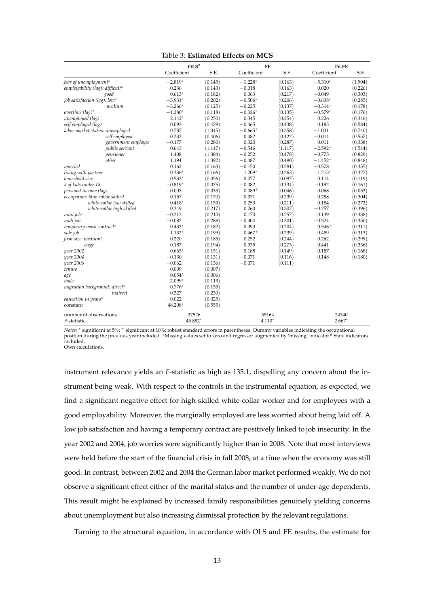|                                          | $OLS$ #     |         | FE          |         | <b>IV-FE</b> |         |
|------------------------------------------|-------------|---------|-------------|---------|--------------|---------|
|                                          | Coefficient | S.E.    | Coefficient | S.E.    | Coefficient  | S.E.    |
| fear of unemployment <sup>o</sup>        | $-2.819*$   | (0.145) | $-1.228*$   | (0.163) | $-5.310*$    | (1.904) |
| employability (lag): difficult°          | $0.236+$    | (0.143) | $-0.018$    | (0.163) | 0.020        | (0.226) |
| good                                     | $0.613*$    | (0.182) | 0.063       | (0.217) | $-0.049$     | (0.303) |
| job satisfaction (lag): low <sup>o</sup> | $-3.931*$   | (0.202) | $-0.506*$   | (0.206) | $-0.638*$    | (0.285) |
| medium                                   | $-3.266*$   | (0.125) | $-0.225$    | (0.137) | $-0.314+$    | (0.178) |
| overtime $(lag)^\circ$                   | $-1.280*$   | (0.118) | $-0.326*$   | (0.135) | $-0.579*$    | (0.176) |
| unemployed (lag)                         | $2.142*$    | (0.250) | 0.345       | (0.254) | 0.226        | (0.346) |
| self employed (lag)                      | 0.093       | (0.429) | $-0.465$    | (0.438) | 0.185        | (0.584) |
| labor market status: unemployed          | 0.787       | (1.345) | $-0.665+$   | (0.358) | $-1.031$     | (0.740) |
| self employed                            | 0.232       | (0.406) | 0.482       | (0.422) | $-0.014$     | (0.557) |
| government employee                      | $-0.177$    | (0.280) | 0.320       | (0.287) | 0.011        | (0.338) |
| public servant                           | 0.643       | (1.147) | $-0.546$    | (1.117) | $-2.592^{+}$ | (1.544) |
| pensioner                                | 1.408       | (1.384) | $-0.252$    | (0.478) | $-0.775$     | (0.829) |
| other                                    | 1.194       | (1.392) | $-0.487$    | (0.490) | $-1.452+$    | (0.848) |
| married                                  | 0.162       | (0.163) | $-0.150$    | (0.281) | $-0.578$     | (0.355) |
| living with partner                      | $0.336*$    | (0.166) | 1.209*      | (0.263) | $1.215*$     | (0.327) |
| household size                           | $0.533*$    | (0.056) | 0.077       | (0.097) | 0.114        | (0.119) |
| # of kids under 18                       | $-0.819*$   | (0.075) | $-0.082$    | (0.134) | $-0.192$     | (0.161) |
| personal income (lag)                    | $-0.003$    | (0.033) | $-0.089+$   | (0.046) | $-0.068$     | (0.053) |
| occupation: blue-collar skilled          | 0.157       | (0.170) | 0.371       | (0.239) | 0.288        | (0.304) |
| white-collar low skilled                 | $0.418*$    | (0.153) | 0.253       | (0.211) | 0.184        | (0.272) |
| white-collar high skilled                | 0.349       | (0.217) | 0.260       | (0.302) | $-0.257$     | (0.396) |
| mini job <sup>o</sup>                    | $-0.213$    | (0.210) | 0.170       | (0.257) | 0.139        | (0.338) |
| midi job                                 | $-0.082$    | (0.288) | $-0.404$    | (0.301) | $-0.524$     | (0.350) |
| temporary work contract <sup>o</sup>     | $0.433*$    | (0.182) | 0.090       | (0.204) | $0.546+$     | (0.311) |
| side job                                 | $-1.132*$   | (0.199) | $-0.467+$   | (0.239) | $-0.489$     | (0.313) |
| firm size: medium <sup>o</sup>           | 0.220       | (0.185) | 0.252       | (0.244) | 0.262        | (0.299) |
| large                                    | 0.187       | (0.194) | 0.335       | (0.273) | 0.441        | (0.336) |
| year 2002                                | $-0.665*$   | (0.151) | $-0.188$    | (0.149) | $-0.187$     | (0.168) |
| year 2004                                | $-0.130$    | (0.131) | $-0.071$    | (0.116) | 0.148        | (0.180) |
| year 2006                                | $-0.062$    | (0.136) | $-0.071$    | (0.111) |              |         |
| tenure                                   | 0.009       | (0.007) |             |         |              |         |
| age                                      | $0.054*$    | (0.006) |             |         |              |         |
| male                                     | $2.099*$    | (0.113) |             |         |              |         |
| migration background: direct°            | $0.776*$    | (0.153) |             |         |              |         |
| indirect                                 | 0.327       | (0.230) |             |         |              |         |
| education in years <sup>o</sup>          | $-0.022$    | (0.025) |             |         |              |         |
| constant                                 | 48.208*     | (0.555) |             |         |              |         |
| number of observations                   | 37526       |         | 35164       |         | 24340        |         |
| F-statistic                              | 45.882*     |         | $4.110*$    |         | $2.667*$     |         |

| Table 3: Estimated Effects on MCS |  |  |  |
|-----------------------------------|--|--|--|
|-----------------------------------|--|--|--|

*Notes:* <sup>∗</sup> significant at 5%; <sup>+</sup> significant at 10%; robust standard errors in parentheses. Dummy variables indicating the occupational position during the previous year included. °Missing values set to zero and regressor augmented by `missing' indicator.# State indicators<br>included.

Own calculations.

instrument relevance yields an *F*-statistic as high as 135.1, dispelling any concern about the instrument being weak. With respect to the controls in the instrumental equation, as expected, we find a significant negative effect for high-skilled white-collar worker and for employees with a good employability. Moreover, the marginally employed are less worried about being laid off. A low job satisfaction and having a temporary contract are positively linked to job insecurity. In the year 2002 and 2004, job worries were significantly higher than in 2008. Note that most interviews were held before the start of the financial crisis in fall 2008, at a time when the economy was still good. In contrast, between 2002 and 2004 the German labor market performed weakly. We do not observe a significant effect either of the marital status and the number of under-age dependents. This result might be explained by increased family responsibilities genuinely yielding concerns about unemployment but also increasing dismissal protection by the relevant regulations.

Turning to the structural equation, in accordance with OLS and FE results, the estimate for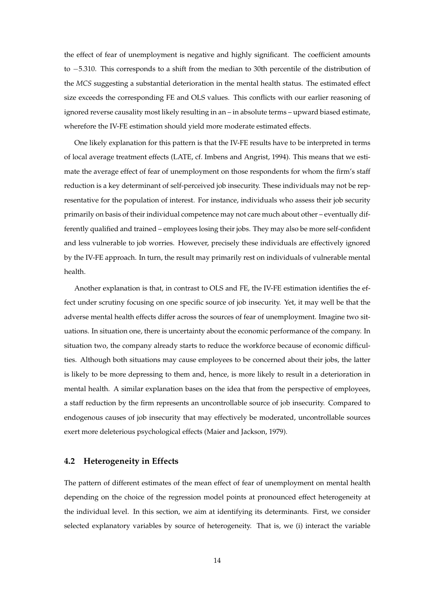the effect of fear of unemployment is negative and highly significant. The coefficient amounts to −5.310. This corresponds to a shift from the median to 30th percentile of the distribution of the *MCS* suggesting a substantial deterioration in the mental health status. The estimated effect size exceeds the corresponding FE and OLS values. This conflicts with our earlier reasoning of ignored reverse causality most likely resulting in an – in absolute terms – upward biased estimate, wherefore the IV-FE estimation should yield more moderate estimated effects.

One likely explanation for this pattern is that the IV-FE results have to be interpreted in terms of local average treatment effects (LATE, cf. [Imbens and Angrist,](#page-18-10) [1994\)](#page-18-10). This means that we estimate the average effect of fear of unemployment on those respondents for whom the firm's staff reduction is a key determinant of self-perceived job insecurity. These individuals may not be representative for the population of interest. For instance, individuals who assess their job security primarily on basis of their individual competence may not care much about other – eventually differently qualified and trained – employees losing their jobs. They may also be more self-confident and less vulnerable to job worries. However, precisely these individuals are effectively ignored by the IV-FE approach. In turn, the result may primarily rest on individuals of vulnerable mental health.

Another explanation is that, in contrast to OLS and FE, the IV-FE estimation identifies the effect under scrutiny focusing on one specific source of job insecurity. Yet, it may well be that the adverse mental health effects differ across the sources of fear of unemployment. Imagine two situations. In situation one, there is uncertainty about the economic performance of the company. In situation two, the company already starts to reduce the workforce because of economic difficulties. Although both situations may cause employees to be concerned about their jobs, the latter is likely to be more depressing to them and, hence, is more likely to result in a deterioration in mental health. A similar explanation bases on the idea that from the perspective of employees, a staff reduction by the firm represents an uncontrollable source of job insecurity. Compared to endogenous causes of job insecurity that may effectively be moderated, uncontrollable sources exert more deleterious psychological effects [\(Maier and Jackson,](#page-18-11) [1979\)](#page-18-11).

#### **4.2 Heterogeneity in Effects**

The pattern of different estimates of the mean effect of fear of unemployment on mental health depending on the choice of the regression model points at pronounced effect heterogeneity at the individual level. In this section, we aim at identifying its determinants. First, we consider selected explanatory variables by source of heterogeneity. That is, we (i) interact the variable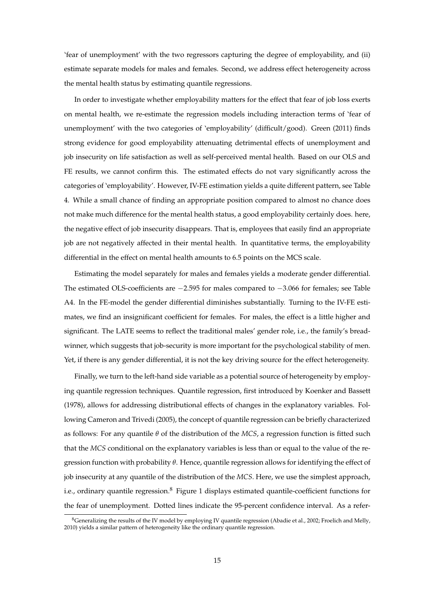'fear of unemployment' with the two regressors capturing the degree of employability, and (ii) estimate separate models for males and females. Second, we address effect heterogeneity across the mental health status by estimating quantile regressions.

In order to investigate whether employability matters for the effect that fear of job loss exerts on mental health, we re-estimate the regression models including interaction terms of 'fear of unemployment' with the two categories of 'employability' (difficult/good). [Green](#page-18-1) [\(2011\)](#page-18-1) finds strong evidence for good employability attenuating detrimental effects of unemployment and job insecurity on life satisfaction as well as self-perceived mental health. Based on our OLS and FE results, we cannot confirm this. The estimated effects do not vary significantly across the categories of 'employability'. However, IV-FE estimation yields a quite different pattern, see Table [4.](#page-13-0) While a small chance of finding an appropriate position compared to almost no chance does not make much difference for the mental health status, a good employability certainly does. here, the negative effect of job insecurity disappears. That is, employees that easily find an appropriate job are not negatively affected in their mental health. In quantitative terms, the employability differential in the effect on mental health amounts to 6.5 points on the MCS scale.

Estimating the model separately for males and females yields a moderate gender differential. The estimated OLS-coefficients are −2.595 for males compared to −3.066 for females; see Table [A4.](#page-24-0) In the FE-model the gender differential diminishes substantially. Turning to the IV-FE estimates, we find an insignificant coefficient for females. For males, the effect is a little higher and significant. The LATE seems to reflect the traditional males' gender role, i.e., the family's breadwinner, which suggests that job-security is more important for the psychological stability of men. Yet, if there is any gender differential, it is not the key driving source for the effect heterogeneity.

Finally, we turn to the left-hand side variable as a potential source of heterogeneity by employing quantile regression techniques. Quantile regression, first introduced by [Koenker and Bassett](#page-18-12) [\(1978\)](#page-18-12), allows for addressing distributional effects of changes in the explanatory variables. Following [Cameron and Trivedi](#page-17-10) [\(2005\)](#page-17-10), the concept of quantile regression can be briefly characterized as follows: For any quantile *θ* of the distribution of the *MCS*, a regression function is fitted such that the *MCS* conditional on the explanatory variables is less than or equal to the value of the regression function with probability *θ*. Hence, quantile regression allows for identifying the effect of job insecurity at any quantile of the distribution of the *MCS*. Here, we use the simplest approach, i.e., ordinary quantile regression.<sup>8</sup> Figure [1](#page-14-0) displays estimated quantile-coefficient functions for the fear of unemployment. Dotted lines indicate the 95-percent confidence interval. As a refer-

<sup>&</sup>lt;sup>8</sup>Generalizing the results of the IV model by employing IV quantile regression [\(Abadie et al.,](#page-17-11) [2002;](#page-17-11) [Froelich and Melly,](#page-17-12) [2010\)](#page-17-12) yields a similar pattern of heterogeneity like the ordinary quantile regression.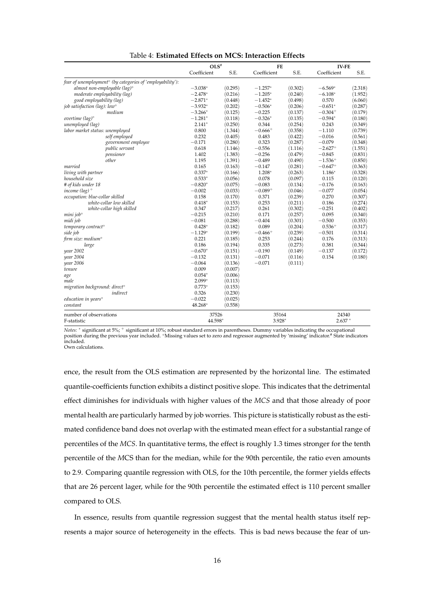<span id="page-13-0"></span>

|                                                                       | OLS <sup>#</sup> |         | FE           |         | <b>IV-FE</b> |         |
|-----------------------------------------------------------------------|------------------|---------|--------------|---------|--------------|---------|
|                                                                       | Coefficient      | S.E.    | Coefficient  | S.E.    | Coefficient  | S.E.    |
| fear of unemployment <sup>o</sup> (by categories of 'employability'): |                  |         |              |         |              |         |
| almost non-employable (lag) $\circ$                                   | $-3.038*$        | (0.295) | $-1.257*$    | (0.302) | $-6.569*$    | (2.318) |
| moderate employability (lag)                                          | $-2.478*$        | (0.216) | $-1.205*$    | (0.240) | $-6.108*$    | (1.952) |
| good employability (lag)                                              | $-2.871*$        | (0.448) | $-1.452*$    | (0.498) | 0.570        | (6.060) |
| job satisfaction (lag): low <sup>o</sup>                              | $-3.932*$        | (0.202) | $-0.506*$    | (0.206) | $-0.651*$    | (0.287) |
| medium                                                                | $-3.266*$        | (0.125) | $-0.225$     | (0.137) | $-0.304+$    | (0.179) |
| overtime $(lag)^\circ$                                                | $-1.281*$        | (0.118) | $-0.326*$    | (0.135) | $-0.594*$    | (0.180) |
| unemployed (lag)                                                      | $2.141*$         | (0.250) | 0.344        | (0.254) | 0.243        | (0.349) |
| labor market status: unemployed                                       | 0.800            | (1.344) | $-0.666^{+}$ | (0.358) | $-1.110$     | (0.739) |
| self employed                                                         | 0.232            | (0.405) | 0.483        | (0.422) | $-0.016$     | (0.561) |
| government employee                                                   | $-0.171$         | (0.280) | 0.323        | (0.287) | $-0.079$     | (0.348) |
| public servant                                                        | 0.618            | (1.146) | $-0.556$     | (1.116) | $-2.627+$    | (1.551) |
| pensioner                                                             | 1.402            | (1.383) | $-0.256$     | (0.479) | $-0.845$     | (0.831) |
| other                                                                 | 1.195            | (1.391) | $-0.489$     | (0.490) | $-1.536+$    | (0.850) |
| married                                                               | 0.165            | (0.163) | $-0.147$     | (0.281) | $-0.647+$    | (0.363) |
| living with partner                                                   | $0.337*$         | (0.166) | $1.208*$     | (0.263) | $1.186*$     | (0.328) |
| household size                                                        | $0.533*$         | (0.056) | 0.078        | (0.097) | 0.115        | (0.120) |
| # of kids under 18                                                    | $-0.820*$        | (0.075) | $-0.083$     | (0.134) | $-0.176$     | (0.163) |
| income (lag) <sup>o</sup>                                             | $-0.002$         | (0.033) | $-0.089+$    | (0.046) | $-0.077$     | (0.054) |
| occupation: blue-collar skilled                                       | 0.158            | (0.170) | 0.371        | (0.239) | 0.270        | (0.307) |
| white-collar low skilled                                              | $0.418*$         | (0.153) | 0.253        | (0.211) | 0.186        | (0.274) |
| white-collar high skilled                                             | 0.347            | (0.217) | 0.261        | (0.302) | $-0.251$     | (0.402) |
| mini job°                                                             | $-0.215$         | (0.210) | 0.171        | (0.257) | 0.095        | (0.340) |
| midi job                                                              | $-0.081$         | (0.288) | $-0.404$     | (0.301) | $-0.500$     | (0.353) |
| temporary contract <sup>o</sup>                                       | $0.428*$         | (0.182) | 0.089        | (0.204) | $0.536+$     | (0.317) |
| side job                                                              | $-1.129*$        | (0.199) | $-0.466+$    | (0.239) | $-0.501$     | (0.314) |
| firm size: medium <sup>o</sup>                                        | 0.221            | (0.185) | 0.253        | (0.244) | 0.176        | (0.313) |
| large                                                                 | 0.186            | (0.194) | 0.335        | (0.273) | 0.381        | (0.344) |
| year 2002                                                             | $-0.670*$        | (0.151) | $-0.190$     | (0.149) | $-0.137$     | (0.172) |
| year 2004                                                             | $-0.132$         | (0.131) | $-0.071$     | (0.116) | 0.154        | (0.180) |
| year 2006                                                             | $-0.064$         | (0.136) | $-0.071$     | (0.111) |              |         |
| tenure                                                                | 0.009            | (0.007) |              |         |              |         |
| age                                                                   | $0.054*$         | (0.006) |              |         |              |         |
| male                                                                  | $2.099*$         | (0.113) |              |         |              |         |
| migration background: direct <sup>o</sup>                             | $0.773*$         | (0.153) |              |         |              |         |
| indirect                                                              | 0.326            | (0.230) |              |         |              |         |
| education in years <sup>o</sup>                                       | $-0.022$         | (0.025) |              |         |              |         |
| constant                                                              | 48.268*          | (0.558) |              |         |              |         |
| number of observations                                                | 37526            |         | 35164        |         | 24340        |         |
| F-statistic                                                           | 44.598*          |         | 3.928*       |         | $2.637*$     |         |

*Notes:* <sup>∗</sup> significant at 5%; <sup>+</sup> significant at 10%; robust standard errors in parentheses. Dummy variables indicating the occupational position during the previous year included. °Missing values set to zero and regressor augmented by `missing' indicator.# State indicators<br>included.

Own calculations.

ence, the result from the OLS estimation are represented by the horizontal line. The estimated quantile-coefficients function exhibits a distinct positive slope. This indicates that the detrimental effect diminishes for individuals with higher values of the *MCS* and that those already of poor mental health are particularly harmed by job worries. This picture is statistically robust as the estimated confidence band does not overlap with the estimated mean effect for a substantial range of percentiles of the *MCS*. In quantitative terms, the effect is roughly 1.3 times stronger for the tenth percentile of the *M*CS than for the median, while for the 90th percentile, the ratio even amounts to 2.9. Comparing quantile regression with OLS, for the 10th percentile, the former yields effects that are 26 percent lager, while for the 90th percentile the estimated effect is 110 percent smaller compared to OLS.

In essence, results from quantile regression suggest that the mental health status itself represents a major source of heterogeneity in the effects. This is bad news because the fear of un-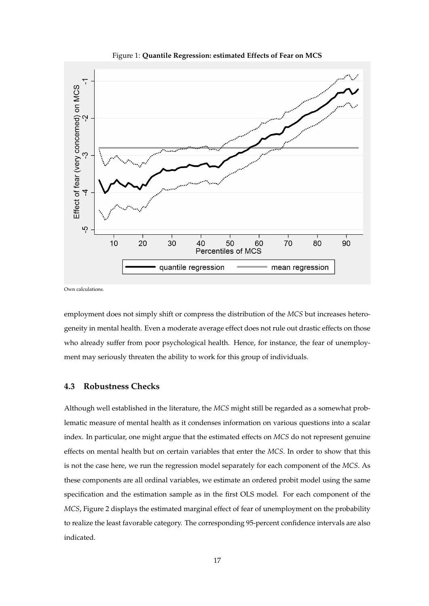<span id="page-14-0"></span>

Figure 1: **Quantile Regression: estimated Effects of Fear on MCS**

Own calculations.

employment does not simply shift or compress the distribution of the *MCS* but increases heterogeneity in mental health. Even a moderate average effect does not rule out drastic effects on those who already suffer from poor psychological health. Hence, for instance, the fear of unemployment may seriously threaten the ability to work for this group of individuals.

#### **4.3 Robustness Checks**

Although well established in the literature, the *MCS* might still be regarded as a somewhat problematic measure of mental health as it condenses information on various questions into a scalar index. In particular, one might argue that the estimated effects on *MCS* do not represent genuine effects on mental health but on certain variables that enter the *MCS*. In order to show that this is not the case here, we run the regression model separately for each component of the *MCS*. As these components are all ordinal variables, we estimate an ordered probit model using the same specification and the estimation sample as in the first OLS model. For each component of the *MCS*, Figure [2](#page-15-0) displays the estimated marginal effect of fear of unemployment on the probability to realize the least favorable category. The corresponding 95-percent confidence intervals are also indicated.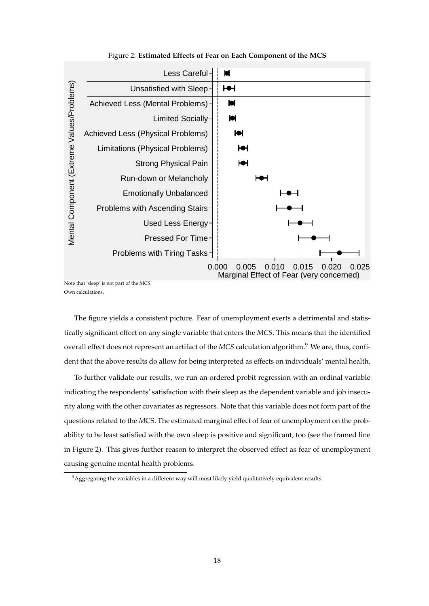<span id="page-15-0"></span>

Figure 2: **Estimated Effects of Fear on Each Component of the MCS**

Note that 'sleep' is not part of the *MCS*. Own calculations.

The figure yields a consistent picture. Fear of unemployment exerts a detrimental and statistically significant effect on any single variable that enters the *MCS*. This means that the identified overall effect does not represent an artifact of the *MCS* calculation algorithm.<sup>9</sup> We are, thus, confident that the above results do allow for being interpreted as effects on individuals' mental health.

To further validate our results, we run an ordered probit regression with an ordinal variable indicating the respondents' satisfaction with their sleep as the dependent variable and job insecurity along with the other covariates as regressors. Note that this variable does not form part of the questions related to the *M*CS. The estimated marginal effect of fear of unemployment on the probability to be least satisfied with the own sleep is positive and significant, too (see the framed line in Figure [2\)](#page-15-0). This gives further reason to interpret the observed effect as fear of unemployment causing genuine mental health problems.

<sup>9</sup>Aggregating the variables in a different way will most likely yield qualitatively equivalent results.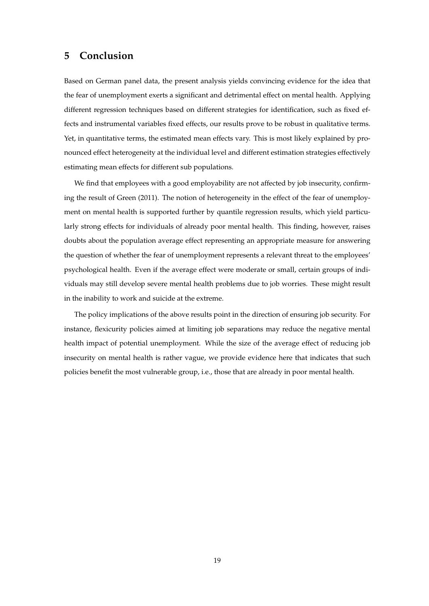# <span id="page-16-0"></span>**5 Conclusion**

Based on German panel data, the present analysis yields convincing evidence for the idea that the fear of unemployment exerts a significant and detrimental effect on mental health. Applying different regression techniques based on different strategies for identification, such as fixed effects and instrumental variables fixed effects, our results prove to be robust in qualitative terms. Yet, in quantitative terms, the estimated mean effects vary. This is most likely explained by pronounced effect heterogeneity at the individual level and different estimation strategies effectively estimating mean effects for different sub populations.

We find that employees with a good employability are not affected by job insecurity, confirming the result of [Green](#page-18-1) [\(2011\)](#page-18-1). The notion of heterogeneity in the effect of the fear of unemployment on mental health is supported further by quantile regression results, which yield particularly strong effects for individuals of already poor mental health. This finding, however, raises doubts about the population average effect representing an appropriate measure for answering the question of whether the fear of unemployment represents a relevant threat to the employees' psychological health. Even if the average effect were moderate or small, certain groups of individuals may still develop severe mental health problems due to job worries. These might result in the inability to work and suicide at the extreme.

The policy implications of the above results point in the direction of ensuring job security. For instance, flexicurity policies aimed at limiting job separations may reduce the negative mental health impact of potential unemployment. While the size of the average effect of reducing job insecurity on mental health is rather vague, we provide evidence here that indicates that such policies benefit the most vulnerable group, i.e., those that are already in poor mental health.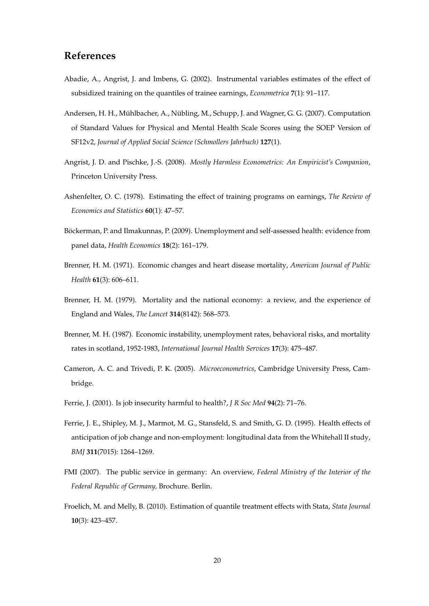# **References**

- <span id="page-17-11"></span>Abadie, A., Angrist, J. and Imbens, G. (2002). Instrumental variables estimates of the effect of subsidized training on the quantiles of trainee earnings, *Econometrica* **7**(1): 91–117.
- <span id="page-17-7"></span>Andersen, H. H., Mühlbacher, A., Nübling, M., Schupp, J. and Wagner, G. G. (2007). [Computation](http://schmollersjahrbuch.diw.de/schmollersjahrbuch/webcontent/2007/Andersen%20et%20al.pdf) [of Standard Values for Physical and Mental Health Scale Scores using the SOEP Version of](http://schmollersjahrbuch.diw.de/schmollersjahrbuch/webcontent/2007/Andersen%20et%20al.pdf) [SF12v2,](http://schmollersjahrbuch.diw.de/schmollersjahrbuch/webcontent/2007/Andersen%20et%20al.pdf) *Journal of Applied Social Science (Schmollers Jahrbuch)* **127**(1).
- <span id="page-17-9"></span>Angrist, J. D. and Pischke, J.-S. (2008). *Mostly Harmless Econometrics: An Empiricist's Companion*, Princeton University Press.
- <span id="page-17-6"></span>Ashenfelter, O. C. (1978). Estimating the effect of training programs on earnings, *The Review of Economics and Statistics* **60**(1): 47–57.
- <span id="page-17-5"></span>Böckerman, P. and Ilmakunnas, P. (2009). Unemployment and self-assessed health: evidence from panel data, *Health Economics* **18**(2): 161–179.
- <span id="page-17-0"></span>Brenner, H. M. (1971). Economic changes and heart disease mortality, *American Journal of Public Health* **61**(3): 606–611.
- <span id="page-17-1"></span>Brenner, H. M. (1979). Mortality and the national economy: a review, and the experience of England and Wales, *The Lancet* **314**(8142): 568–573.
- <span id="page-17-2"></span>Brenner, M. H. (1987). Economic instability, unemployment rates, behavioral risks, and mortality rates in scotland, 1952-1983, *International Journal Health Services* **17**(3): 475–487.
- <span id="page-17-10"></span>Cameron, A. C. and Trivedi, P. K. (2005). *Microeconometrics*, Cambridge University Press, Cambridge.
- <span id="page-17-3"></span>Ferrie, J. (2001). [Is job insecurity harmful to health?,](http://jrsm.rsmjournals.com/cgi/reprint/94/2/71.pdf) *J R Soc Med* **94**(2): 71–76.
- <span id="page-17-4"></span>Ferrie, J. E., Shipley, M. J., Marmot, M. G., Stansfeld, S. and Smith, G. D. (1995). [Health effects of](http://www.bmj.com/content/311/7015/1264.abstract) [anticipation of job change and non-employment: longitudinal data from the Whitehall II study,](http://www.bmj.com/content/311/7015/1264.abstract) *BMJ* **311**(7015): 1264–1269.
- <span id="page-17-8"></span>FMI (2007). The public service in germany: An overview, *Federal Ministry of the Interior of the Federal Republic of Germany,* Brochure. Berlin.
- <span id="page-17-12"></span>Froelich, M. and Melly, B. (2010). [Estimation of quantile treatment effects with Stata,](http://www.stata-journal.com/article.html?article=st020) *Stata Journal* **10**(3): 423–457.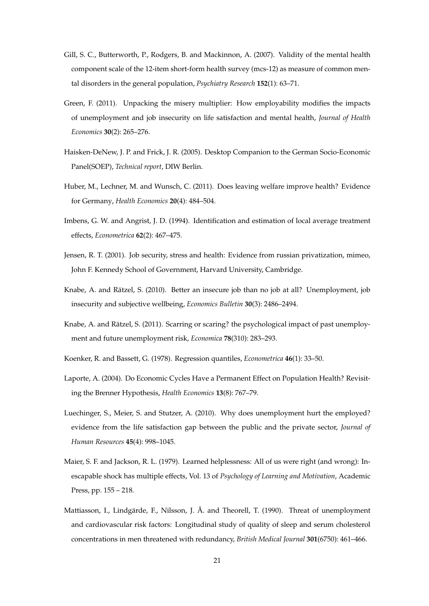- <span id="page-18-9"></span>Gill, S. C., Butterworth, P., Rodgers, B. and Mackinnon, A. (2007). Validity of the mental health component scale of the 12-item short-form health survey (mcs-12) as measure of common mental disorders in the general population, *Psychiatry Research* **152**(1): 63–71.
- <span id="page-18-1"></span>Green, F. (2011). [Unpacking the misery multiplier: How employability modifies the impacts](http://www.sciencedirect.com/science/article/pii/S0167629610001517) [of unemployment and job insecurity on life satisfaction and mental health,](http://www.sciencedirect.com/science/article/pii/S0167629610001517) *Journal of Health Economics* **30**(2): 265–276.
- <span id="page-18-6"></span>Haisken-DeNew, J. P. and Frick, J. R. (2005). [Desktop Companion to the German Socio-Economic](http://www.soep.de/) [Panel\(SOEP\),](http://www.soep.de/) *Technical report*, DIW Berlin.
- <span id="page-18-5"></span>Huber, M., Lechner, M. and Wunsch, C. (2011). [Does leaving welfare improve health? Evidence](http://dx.doi.org/10.1002/hec.1615) [for Germany,](http://dx.doi.org/10.1002/hec.1615) *Health Economics* **20**(4): 484–504.
- <span id="page-18-10"></span>Imbens, G. W. and Angrist, J. D. (1994). Identification and estimation of local average treatment effects, *Econometrica* **62**(2): 467–475.
- <span id="page-18-8"></span>Jensen, R. T. (2001). Job security, stress and health: Evidence from russian privatization, mimeo, John F. Kennedy School of Government, Harvard University, Cambridge.
- <span id="page-18-2"></span>Knabe, A. and Rätzel, S. (2010). [Better an insecure job than no job at all? Unemployment, job](http://www.accessecon.com/Pubs/EB/2010/Volume30/EB-10-V30-I3-P228.pdf) [insecurity and subjective wellbeing,](http://www.accessecon.com/Pubs/EB/2010/Volume30/EB-10-V30-I3-P228.pdf) *Economics Bulletin* **30**(3): 2486–2494.
- <span id="page-18-3"></span>Knabe, A. and Rätzel, S. (2011). Scarring or scaring? the psychological impact of past unemployment and future unemployment risk, *Economica* **78**(310): 283–293.
- <span id="page-18-12"></span>Koenker, R. and Bassett, G. (1978). [Regression quantiles,](http://www.jstor.org/stable/1913643) *Econometrica* **46**(1): 33–50.
- <span id="page-18-0"></span>Laporte, A. (2004). Do Economic Cycles Have a Permanent Effect on Population Health? Revisiting the Brenner Hypothesis, *Health Economics* **13**(8): 767–79.
- <span id="page-18-4"></span>Luechinger, S., Meier, S. and Stutzer, A. (2010). Why does unemployment hurt the employed? evidence from the life satisfaction gap between the public and the private sector, *Journal of Human Resources* **45**(4): 998–1045.
- <span id="page-18-11"></span>Maier, S. F. and Jackson, R. L. (1979). Learned helplessness: All of us were right (and wrong): Inescapable shock has multiple effects, Vol. 13 of *Psychology of Learning and Motivation*, Academic Press, pp. 155 – 218.
- <span id="page-18-7"></span>Mattiasson, I., Lindgärde, F., Nilsson, J. Å. and Theorell, T. (1990). Threat of unemployment and cardiovascular risk factors: Longitudinal study of quality of sleep and serum cholesterol concentrations in men threatened with redundancy, *British Medical Journal* **301**(6750): 461–466.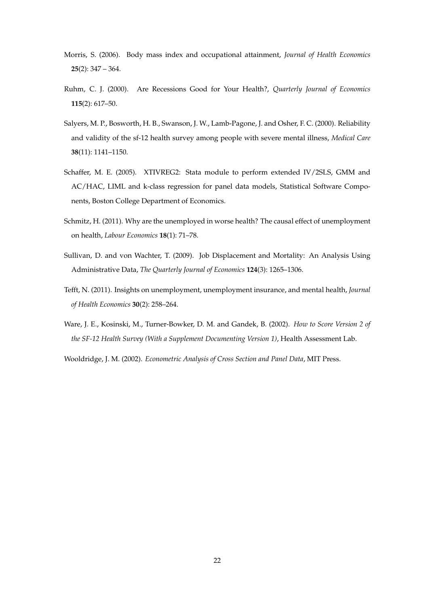- <span id="page-19-6"></span>Morris, S. (2006). Body mass index and occupational attainment, *Journal of Health Economics* **25**(2): 347 – 364.
- <span id="page-19-0"></span>Ruhm, C. J. (2000). Are Recessions Good for Your Health?, *Quarterly Journal of Economics* **115**(2): 617–50.
- <span id="page-19-4"></span>Salyers, M. P., Bosworth, H. B., Swanson, J. W., Lamb-Pagone, J. and Osher, F. C. (2000). Reliability and validity of the sf-12 health survey among people with severe mental illness, *Medical Care* **38**(11): 1141–1150.
- <span id="page-19-7"></span>Schaffer, M. E. (2005). [XTIVREG2: Stata module to perform extended IV/2SLS, GMM and](http://ideas.repec.org/c/boc/bocode/s456501.html) [AC/HAC, LIML and k-class regression for panel data models,](http://ideas.repec.org/c/boc/bocode/s456501.html) Statistical Software Components, Boston College Department of Economics.
- <span id="page-19-3"></span>Schmitz, H. (2011). [Why are the unemployed in worse health? The causal effect of unemployment](http://www.sciencedirect.com/science/article/pii/S0927537110000953) [on health,](http://www.sciencedirect.com/science/article/pii/S0927537110000953) *Labour Economics* **18**(1): 71–78.
- <span id="page-19-2"></span>Sullivan, D. and von Wachter, T. (2009). [Job Displacement and Mortality: An Analysis Using](http://qje.oxfordjournals.org/content/124/3/1265.abstract) [Administrative Data,](http://qje.oxfordjournals.org/content/124/3/1265.abstract) *The Quarterly Journal of Economics* **124**(3): 1265–1306.
- <span id="page-19-1"></span>Tefft, N. (2011). [Insights on unemployment, unemployment insurance, and mental health,](http://dx.doi.org/10.1016/j.jhealeco.2011.01.006) *Journal of Health Economics* **30**(2): 258–264.
- <span id="page-19-5"></span>Ware, J. E., Kosinski, M., Turner-Bowker, D. M. and Gandek, B. (2002). *How to Score Version 2 of the SF-12 Health Survey (With a Supplement Documenting Version 1)*, Health Assessment Lab.
- <span id="page-19-8"></span>Wooldridge, J. M. (2002). *Econometric Analysis of Cross Section and Panel Data*, MIT Press.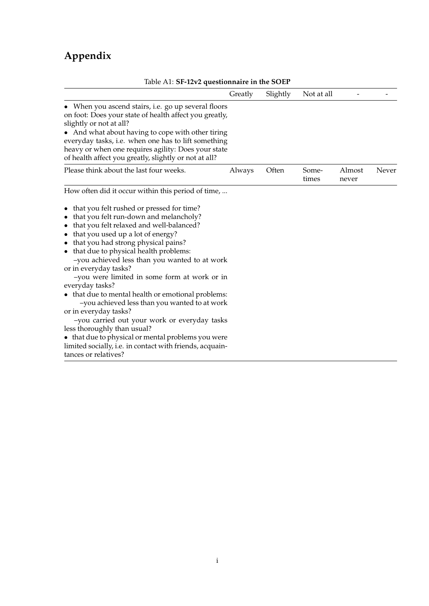# **Appendix**

<span id="page-20-0"></span>

| Table A1: SF-12V2 questionnaire in the SOEP                                                                                                                                                                                                                                                                                                                                                                     |         |          |                |                 |       |
|-----------------------------------------------------------------------------------------------------------------------------------------------------------------------------------------------------------------------------------------------------------------------------------------------------------------------------------------------------------------------------------------------------------------|---------|----------|----------------|-----------------|-------|
|                                                                                                                                                                                                                                                                                                                                                                                                                 | Greatly | Slightly | Not at all     |                 |       |
| • When you ascend stairs, i.e. go up several floors<br>on foot: Does your state of health affect you greatly,<br>slightly or not at all?<br>• And what about having to cope with other tiring<br>everyday tasks, i.e. when one has to lift something<br>heavy or when one requires agility: Does your state<br>of health affect you greatly, slightly or not at all?                                            |         |          |                |                 |       |
| Please think about the last four weeks.                                                                                                                                                                                                                                                                                                                                                                         | Always  | Often    | Some-<br>times | Almost<br>never | Never |
| How often did it occur within this period of time,                                                                                                                                                                                                                                                                                                                                                              |         |          |                |                 |       |
| that you felt rushed or pressed for time?<br>that you felt run-down and melancholy?<br>$\bullet$<br>that you felt relaxed and well-balanced?<br>٠<br>that you used up a lot of energy?<br>that you had strong physical pains?<br>$\bullet$<br>• that due to physical health problems:<br>-you achieved less than you wanted to at work<br>or in everyday tasks?<br>-you were limited in some form at work or in |         |          |                |                 |       |
| everyday tasks?<br>• that due to mental health or emotional problems:<br>-you achieved less than you wanted to at work<br>or in everyday tasks?<br>-you carried out your work or everyday tasks<br>less thoroughly than usual?<br>• that due to physical or mental problems you were<br>limited socially, i.e. in contact with friends, acquain-<br>tances or relatives?                                        |         |          |                |                 |       |

### Table A1: **SF-12v2 questionnaire in the SOEP**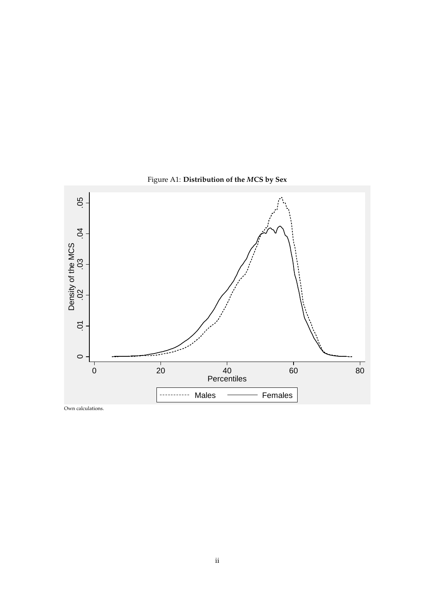<span id="page-21-0"></span>

Figure A1: **Distribution of the** *M***CS by Sex**

Own calculations.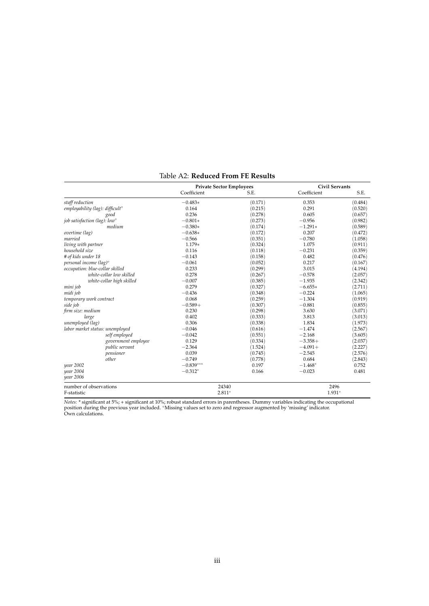<span id="page-22-0"></span>

|                                             |                           | <b>Private Sector Employees</b> |         | <b>Civil Servants</b> |         |
|---------------------------------------------|---------------------------|---------------------------------|---------|-----------------------|---------|
|                                             |                           | Coefficient                     | S.E.    | Coefficient           | S.E.    |
| staff reduction                             |                           | $-0.483*$                       | (0.171) | 0.353                 | (0.484) |
| employability (lag): difficult <sup>o</sup> |                           | 0.164                           | (0.215) | 0.291                 | (0.520) |
| good                                        |                           | 0.236                           | (0.278) | 0.605                 | (0.657) |
| job satisfaction (lag): low <sup>o</sup>    |                           | $-0.801*$                       | (0.273) | $-0.956$              | (0.982) |
|                                             | medium                    | $-0.380*$                       | (0.174) | $-1.291*$             | (0.589) |
| overtime (lag)                              |                           | $-0.638*$                       | (0.172) | 0.207                 | (0.472) |
| married                                     |                           | $-0.566$                        | (0.351) | $-0.780$              | (1.058) |
| living with partner                         |                           | 1.179*                          | (0.324) | 1.075                 | (0.911) |
| household size                              |                           | 0.116                           | (0.118) | $-0.231$              | (0.359) |
| # of kids under 18                          |                           | $-0.143$                        | (0.158) | 0.482                 | (0.476) |
| personal income (lag) <sup>o</sup>          |                           | $-0.061$                        | (0.052) | 0.217                 | (0.167) |
| occupation: blue-collar skilled             |                           | 0.233                           | (0.299) | 3.015                 | (4.194) |
|                                             | white-collar low skilled  | 0.278                           | (0.267) | $-0.578$              | (2.057) |
|                                             | white-collar high skilled | $-0.007$                        | (0.385) | $-1.935$              | (2.342) |
| mini job                                    |                           | 0.279                           | (0.327) | $-6.655*$             | (2.711) |
| midi job                                    |                           | $-0.436$                        | (0.348) | $-0.224$              | (1.065) |
| temporary work contract                     |                           | 0.068                           | (0.259) | $-1.304$              | (0.919) |
| side job                                    |                           | $-0.589+$                       | (0.307) | $-0.881$              | (0.855) |
| firm size: medium                           |                           | 0.230                           | (0.298) | 3.630                 | (3.071) |
| large                                       |                           | 0.402                           | (0.333) | 3.813                 | (3.013) |
| unemployed (lag)                            |                           | 0.306                           | (0.338) | 1.834                 | (1.973) |
| labor market status: unemployed             |                           | $-0.046$                        | (0.616) | $-1.474$              | (2.567) |
|                                             | self employed             | $-0.042$                        | (0.551) | $-2.168$              | (3.605) |
|                                             | government employee       | 0.129                           | (0.334) | $-3.358+$             | (2.037) |
|                                             | public servant            | $-2.364$                        | (1.524) | $-4.091+$             | (2.227) |
|                                             | pensioner                 | 0.039                           | (0.745) | $-2.545$              | (2.576) |
| other                                       |                           | $-0.749$                        | (0.778) | 0.684                 | (2.843) |
| year 2002                                   |                           | $-0.839***$                     | 0.197   | $-1.468*$             | 0.752   |
| year 2004                                   |                           | $-0.312*$                       | 0.166   | $-0.023$              | 0.481   |
| year 2006                                   |                           |                                 |         |                       |         |
| number of observations                      |                           | 24340                           |         | 2496                  |         |
| F-statistic                                 |                           | $2.811*$                        |         | 1.931*                |         |

#### Table A2: **Reduced From FE Results**

Notes: \* significant at 5%; + significant at 10%; robust standard errors in parentheses. Dummy variables indicating the occupational<br>position during the previous year included. °Missing values set to zero and regressor aug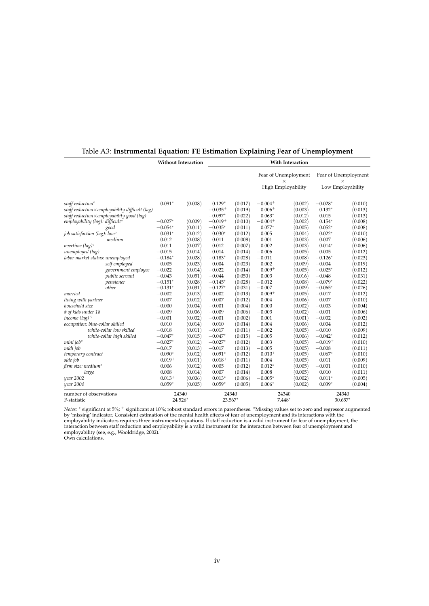|                                                        |           | <b>Without Interaction</b> |           |         |             | With Interaction                 |           |                                  |
|--------------------------------------------------------|-----------|----------------------------|-----------|---------|-------------|----------------------------------|-----------|----------------------------------|
|                                                        |           |                            |           |         |             | Fear of Unemployment<br>$\times$ |           | Fear of Unemployment<br>$\times$ |
|                                                        |           |                            |           |         |             | High Employability               |           | Low Employability                |
| staff reduction <sup>o</sup>                           | $0.091*$  | (0.008)                    | $0.129*$  | (0.017) | $-0.004+$   | (0.002)                          | $-0.028*$ | (0.010)                          |
| staff reduction $\times$ employability difficult (lag) |           |                            | $-0.035+$ | (0.019) | $0.006+$    | (0.003)                          | $0.132*$  | (0.013)                          |
| staff reduction $\times$ employability good (lag)      |           |                            | $-0.097*$ | (0.022) | $0.063*$    | (0.012)                          | 0.015     | (0.013)                          |
| employability (lag): difficult°                        | $-0.027*$ | (0.009)                    | $-0.019+$ | (0.010) | $-0.004+$   | (0.002)                          | $0.154*$  | (0.008)                          |
| good                                                   | $-0.054*$ | (0.011)                    | $-0.035*$ | (0.011) | $0.077*$    | (0.005)                          | $0.052*$  | (0.008)                          |
| job satisfaction (lag): low <sup>o</sup>               | $0.031*$  | (0.012)                    | $0.030*$  | (0.012) | 0.005       | (0.004)                          | $0.022*$  | (0.010)                          |
| medium                                                 | 0.012     | (0.008)                    | 0.011     | (0.008) | 0.001       | (0.003)                          | 0.007     | (0.006)                          |
| overtime $(lag)^\circ$                                 | 0.011     | (0.007)                    | 0.012     | (0.007) | 0.002       | (0.003)                          | $0.014*$  | (0.006)                          |
| unemployed (lag)                                       | $-0.015$  | (0.014)                    | $-0.014$  | (0.014) | $-0.006$    | (0.005)                          | 0.005     | (0.012)                          |
| labor market status: unemployed                        | $-0.184*$ | (0.028)                    | $-0.183*$ | (0.028) | $-0.011$    | (0.008)                          | $-0.126*$ | (0.023)                          |
| self employed                                          | 0.005     | (0.023)                    | 0.004     | (0.023) | 0.002       | (0.009)                          | $-0.004$  | (0.019)                          |
| government employee                                    | $-0.022$  | (0.014)                    | $-0.022$  | (0.014) | $0.009+$    | (0.005)                          | $-0.025*$ | (0.012)                          |
| public servant                                         | $-0.043$  | (0.051)                    | $-0.044$  | (0.050) | 0.003       | (0.016)                          | $-0.048$  | (0.031)                          |
| pensioner                                              | $-0.151*$ | (0.028)                    | $-0.145*$ | (0.028) | $-0.012$    | (0.008)                          | $-0.079*$ | (0.022)                          |
| other                                                  | $-0.131*$ | (0.031)                    | $-0.127*$ | (0.031) | $-0.007$    | (0.009)                          | $-0.065*$ | (0.026)                          |
| married                                                | $-0.002$  | (0.013)                    | $-0.002$  | (0.013) | $0.009 +$   | (0.005)                          | $-0.017$  | (0.012)                          |
| living with partner                                    | 0.007     | (0.012)                    | 0.007     | (0.012) | 0.004       | (0.006)                          | 0.007     | (0.010)                          |
| household size                                         | $-0.000$  | (0.004)                    | $-0.001$  | (0.004) | 0.000       | (0.002)                          | $-0.003$  | (0.004)                          |
| # of kids under 18                                     | $-0.009$  | (0.006)                    | $-0.009$  | (0.006) | $-0.003$    | (0.002)                          | $-0.001$  | (0.006)                          |
| income (lag) °                                         | $-0.001$  | (0.002)                    | $-0.001$  | (0.002) | 0.001       | (0.001)                          | $-0.002$  | (0.002)                          |
| occupation: blue-collar skilled                        | 0.010     | (0.014)                    | 0.010     | (0.014) | 0.004       | (0.006)                          | 0.004     | (0.012)                          |
| white-collar low skilled                               | $-0.018$  | (0.011)                    | $-0.017$  | (0.011) | $-0.002$    | (0.005)                          | $-0.010$  | (0.009)                          |
| white-collar high skilled                              | $-0.047*$ | (0.015)                    | $-0.047*$ | (0.015) | $-0.005$    | (0.006)                          | $-0.042*$ | (0.012)                          |
| mini job <sup>o</sup>                                  | $-0.027*$ | (0.012)                    | $-0.027*$ | (0.012) | 0.003       | (0.005)                          | $-0.019+$ | (0.010)                          |
| midi job                                               | $-0.017$  | (0.013)                    | $-0.017$  | (0.013) | $-0.005$    | (0.005)                          | $-0.008$  | (0.011)                          |
| temporary contract                                     | $0.090*$  | (0.012)                    | $0.091*$  | (0.012) | $0.010^{+}$ | (0.005)                          | $0.067*$  | (0.010)                          |
| side job                                               | $0.019 +$ | (0.011)                    | $0.018 +$ | (0.011) | 0.004       | (0.005)                          | 0.011     | (0.009)                          |
| firm size: medium <sup>o</sup>                         | 0.006     | (0.012)                    | 0.005     | (0.012) | $0.012*$    | (0.005)                          | $-0.001$  | (0.010)                          |
| large                                                  | 0.008     | (0.014)                    | 0.007     | (0.014) | 0.008       | (0.005)                          | 0.010     | (0.011)                          |
| year 2002                                              | $0.013+$  | (0.006)                    | $0.013*$  | (0.006) | $-0.005*$   | (0.002)                          | $0.011*$  | (0.005)                          |
| year 2004                                              | $0.059*$  | (0.005)                    | $0.059*$  | (0.005) | $0.006*$    | (0.002)                          | $0.039*$  | (0.004)                          |
| number of observations                                 |           | 24340                      |           | 24340   |             | 24340                            |           | 24340                            |
| F-statistic                                            |           | 24.526*                    | 23.567*   |         |             | $7.448*$                         |           | 30.657*                          |

#### <span id="page-23-0"></span>Table A3: **Instrumental Equation: FE Estimation Explaining Fear of Unemployment**

*Notes:* \* significant at 5%; <sup>+</sup> significant at 10%; robust standard errors in parentheses. °Missing values set to zero and regressor augmented<br>by 'missing' indicator. Consistent estimation of the mental health effects of employability (see, e.g., [Wooldridge,](#page-19-8) [2002\)](#page-19-8).

Own calculations.